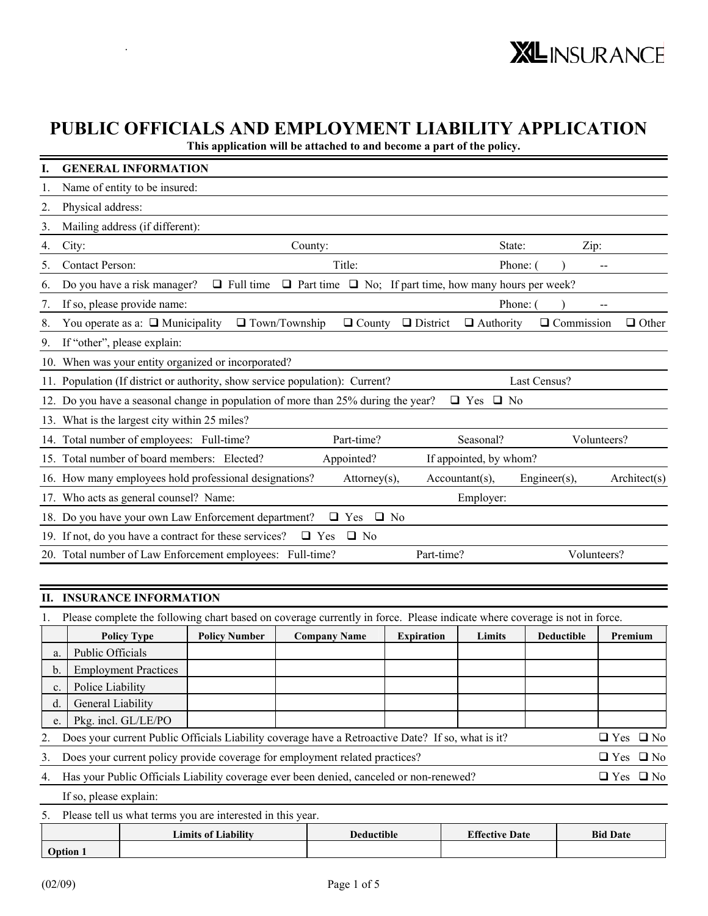# **PUBLIC OFFICIALS AND EMPLOYMENT LIABILITY APPLICATION**

**This application will be attached to and become a part of the policy.** 

|    | <b>GENERAL INFORMATION</b>                                                                                                                                 |
|----|------------------------------------------------------------------------------------------------------------------------------------------------------------|
| 1. | Name of entity to be insured:                                                                                                                              |
| 2. | Physical address:                                                                                                                                          |
| 3. | Mailing address (if different):                                                                                                                            |
| 4. | City:<br>State:<br>Zip:<br>County:                                                                                                                         |
| 5. | Title:<br><b>Contact Person:</b><br>Phone: (                                                                                                               |
| 6. | $\Box$ Part time $\Box$ No; If part time, how many hours per week?<br>Do you have a risk manager?<br>$\Box$ Full time                                      |
| 7. | If so, please provide name:<br>Phone: (                                                                                                                    |
| 8. | $\Box$ Town/Township<br>$\Box$ District<br>You operate as a: $\Box$ Municipality<br>$\Box$ County<br>$\Box$ Authority<br>$\Box$ Commission<br>$\Box$ Other |
| 9. | If "other", please explain:                                                                                                                                |
|    | 10. When was your entity organized or incorporated?                                                                                                        |
|    | 11. Population (If district or authority, show service population): Current?<br>Last Census?                                                               |
|    | 12. Do you have a seasonal change in population of more than 25% during the year?<br>$\Box$ Yes $\Box$ No                                                  |
|    | 13. What is the largest city within 25 miles?                                                                                                              |
|    | 14. Total number of employees: Full-time?<br>Part-time?<br>Seasonal?<br>Volunteers?                                                                        |
|    | 15. Total number of board members: Elected?<br>Appointed?<br>If appointed, by whom?                                                                        |
|    | 16. How many employees hold professional designations?<br>Attorney(s),<br>$Accountant(s)$ ,<br>$Engineering(s)$ ,<br>Architect(s)                          |
|    | 17. Who acts as general counsel? Name:<br>Employer:                                                                                                        |
|    | 18. Do you have your own Law Enforcement department?<br>$\Box$ No<br>$\Box$ Yes                                                                            |
|    | 19. If not, do you have a contract for these services?<br>$\Box$ Yes $\Box$ No                                                                             |
|    | 20. Total number of Law Enforcement employees: Full-time?<br>Part-time?<br>Volunteers?                                                                     |

#### **II. INSURANCE INFORMATION**

.

|    | <b>Policy Type</b>                                                                                              | <b>Policy Number</b> | <b>Company Name</b> | <b>Expiration</b> | Limits | <b>Deductible</b> | Premium              |  |
|----|-----------------------------------------------------------------------------------------------------------------|----------------------|---------------------|-------------------|--------|-------------------|----------------------|--|
| a. | Public Officials                                                                                                |                      |                     |                   |        |                   |                      |  |
| b. | <b>Employment Practices</b>                                                                                     |                      |                     |                   |        |                   |                      |  |
| c. | Police Liability                                                                                                |                      |                     |                   |        |                   |                      |  |
| d. | General Liability                                                                                               |                      |                     |                   |        |                   |                      |  |
| e. | Pkg. incl. GL/LE/PO                                                                                             |                      |                     |                   |        |                   |                      |  |
|    | Does your current Public Officials Liability coverage have a Retroactive Date? If so, what is it?               |                      |                     |                   |        |                   | $\Box$ Yes $\Box$ No |  |
| 3. | Does your current policy provide coverage for employment related practices?<br>$\Box$ Yes $\Box$ No             |                      |                     |                   |        |                   |                      |  |
| 4. | Has your Public Officials Liability coverage ever been denied, canceled or non-renewed?<br>$\Box$ Yes $\Box$ No |                      |                     |                   |        |                   |                      |  |
|    | If so, please explain:                                                                                          |                      |                     |                   |        |                   |                      |  |

5. Please tell us what terms you are interested in this year.

|         | <b>Limits of Liability</b> | <b>Deductible</b> | <b>Effective Date</b> | <b>Bid Date</b> |
|---------|----------------------------|-------------------|-----------------------|-----------------|
| Option. |                            |                   |                       |                 |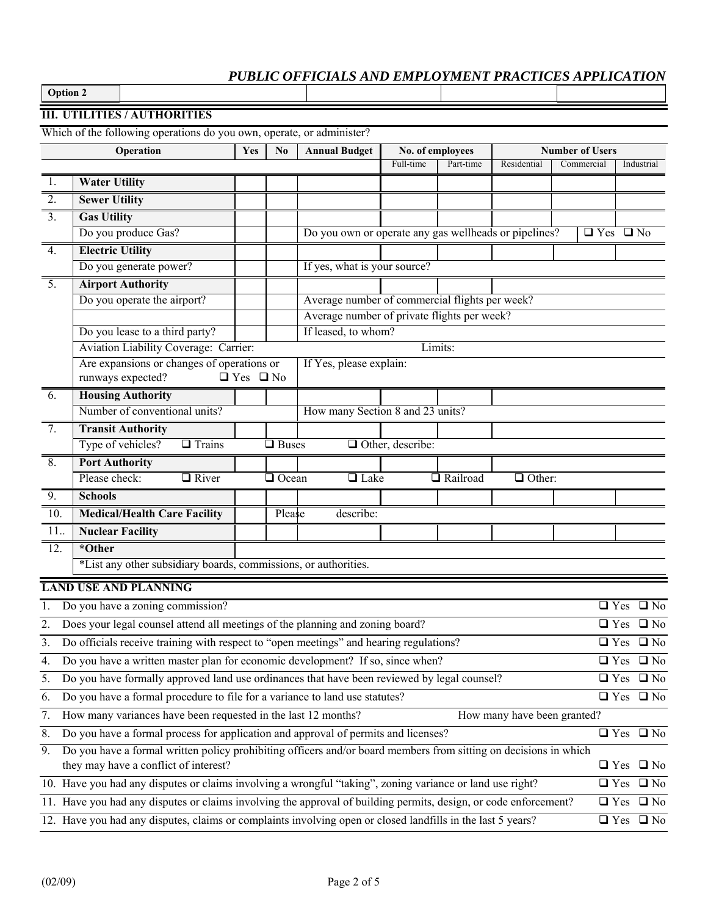**Option 2** 

#### **III. UTILITIES / AUTHORITIES**

Which of the following operations do you own, operate, or administer?

|                  | Operation                                                                                                                           | Yes                  | N <sub>0</sub> | <b>Annual Budget</b>                                  | No. of employees        |           |                          | <b>Number of Users</b> |            |                              |
|------------------|-------------------------------------------------------------------------------------------------------------------------------------|----------------------|----------------|-------------------------------------------------------|-------------------------|-----------|--------------------------|------------------------|------------|------------------------------|
|                  |                                                                                                                                     |                      |                |                                                       | Full-time               | Part-time | Residential              | Commercial             |            | Industrial                   |
| 1.               | <b>Water Utility</b>                                                                                                                |                      |                |                                                       |                         |           |                          |                        |            |                              |
| $\overline{2}$ . | <b>Sewer Utility</b>                                                                                                                |                      |                |                                                       |                         |           |                          |                        |            |                              |
| $\overline{3}$ . | <b>Gas Utility</b>                                                                                                                  |                      |                |                                                       |                         |           |                          |                        |            |                              |
|                  | Do you produce Gas?                                                                                                                 |                      |                | Do you own or operate any gas wellheads or pipelines? |                         |           |                          | $\Box$ Yes $\Box$ No   |            |                              |
| $\overline{4}$ . | <b>Electric Utility</b>                                                                                                             |                      |                |                                                       |                         |           |                          |                        |            |                              |
|                  | Do you generate power?                                                                                                              |                      |                | If yes, what is your source?                          |                         |           |                          |                        |            |                              |
| $\overline{5}$ . | <b>Airport Authority</b>                                                                                                            |                      |                |                                                       |                         |           |                          |                        |            |                              |
|                  | Do you operate the airport?                                                                                                         |                      |                | Average number of commercial flights per week?        |                         |           |                          |                        |            |                              |
|                  |                                                                                                                                     |                      |                | Average number of private flights per week?           |                         |           |                          |                        |            |                              |
|                  | Do you lease to a third party?                                                                                                      |                      |                | If leased, to whom?                                   |                         |           |                          |                        |            |                              |
|                  | Aviation Liability Coverage: Carrier:                                                                                               |                      |                |                                                       |                         | Limits:   |                          |                        |            |                              |
|                  | Are expansions or changes of operations or                                                                                          |                      |                | If Yes, please explain:                               |                         |           |                          |                        |            |                              |
|                  | runways expected?                                                                                                                   | $\Box$ Yes $\Box$ No |                |                                                       |                         |           |                          |                        |            |                              |
| 6.               | <b>Housing Authority</b>                                                                                                            |                      |                |                                                       |                         |           |                          |                        |            |                              |
|                  | Number of conventional units?                                                                                                       |                      |                | How many Section 8 and 23 units?                      |                         |           |                          |                        |            |                              |
| 7.               | <b>Transit Authority</b>                                                                                                            |                      |                |                                                       |                         |           |                          |                        |            |                              |
|                  | Type of vehicles?<br>$\Box$ Trains                                                                                                  |                      | $\Box$ Buses   |                                                       | $\Box$ Other, describe: |           |                          |                        |            |                              |
| 8.               | <b>Port Authority</b>                                                                                                               |                      |                |                                                       |                         |           |                          |                        |            |                              |
|                  | Please check:<br>$\Box$ River                                                                                                       |                      | <b>Q</b> Ocean | $\Box$ Lake                                           |                         | Railroad  | $\overline{\Box}$ Other: |                        |            |                              |
| 9.               | <b>Schools</b>                                                                                                                      |                      |                |                                                       |                         |           |                          |                        |            |                              |
| 10.              | <b>Medical/Health Care Facility</b>                                                                                                 |                      | Please         | describe:                                             |                         |           |                          |                        |            |                              |
| 11               | <b>Nuclear Facility</b>                                                                                                             |                      |                |                                                       |                         |           |                          |                        |            |                              |
| 12.              | *Other                                                                                                                              |                      |                |                                                       |                         |           |                          |                        |            |                              |
|                  | *List any other subsidiary boards, commissions, or authorities.                                                                     |                      |                |                                                       |                         |           |                          |                        |            |                              |
|                  | <b>LAND USE AND PLANNING</b>                                                                                                        |                      |                |                                                       |                         |           |                          |                        |            |                              |
| 1.               | Do you have a zoning commission?                                                                                                    |                      |                |                                                       |                         |           |                          |                        |            | $\sqrt{2}$ Yes $\sqrt{2}$ No |
| 2.               | Does your legal counsel attend all meetings of the planning and zoning board?                                                       |                      |                |                                                       |                         |           |                          |                        | $\Box$ Yes | $\square$ No                 |
| 3.               | Do officials receive training with respect to "open meetings" and hearing regulations?                                              |                      |                |                                                       |                         |           |                          |                        |            | $\Box$ Yes $\Box$ No         |
| 4.               | Do you have a written master plan for economic development? If so, since when?                                                      |                      |                |                                                       |                         |           |                          |                        |            | $\Box$ Yes $\Box$ No         |
| 5.               | Do you have formally approved land use ordinances that have been reviewed by legal counsel?                                         |                      |                |                                                       |                         |           |                          |                        |            | $\Box$ Yes $\Box$ No         |
|                  |                                                                                                                                     |                      |                |                                                       |                         |           |                          |                        |            |                              |
| 6.               | Do you have a formal procedure to file for a variance to land use statutes?                                                         |                      |                |                                                       |                         |           |                          |                        |            | $\Box$ Yes $\Box$ No         |
|                  | How many variances have been requested in the last 12 months?<br>7.<br>How many have been granted?                                  |                      |                |                                                       |                         |           |                          |                        |            |                              |
| 8.               | Do you have a formal process for application and approval of permits and licenses?                                                  |                      |                |                                                       |                         |           |                          |                        |            | $\Box$ Yes $\Box$ No         |
| 9.               | Do you have a formal written policy prohibiting officers and/or board members from sitting on decisions in which                    |                      |                |                                                       |                         |           |                          |                        |            |                              |
|                  | they may have a conflict of interest?                                                                                               |                      |                |                                                       |                         |           |                          |                        |            | $\Box$ Yes $\Box$ No         |
|                  | 10. Have you had any disputes or claims involving a wrongful "taking", zoning variance or land use right?                           |                      |                |                                                       |                         |           |                          |                        |            | $\Box$ Yes $\Box$ No         |
|                  | 11. Have you had any disputes or claims involving the approval of building permits, design, or code enforcement?                    |                      |                |                                                       |                         |           |                          |                        |            | $\Box$ Yes $\Box$ No         |
|                  | 12. Have you had any disputes, claims or complaints involving open or closed landfills in the last 5 years?<br>$\Box$ Yes $\Box$ No |                      |                |                                                       |                         |           |                          |                        |            |                              |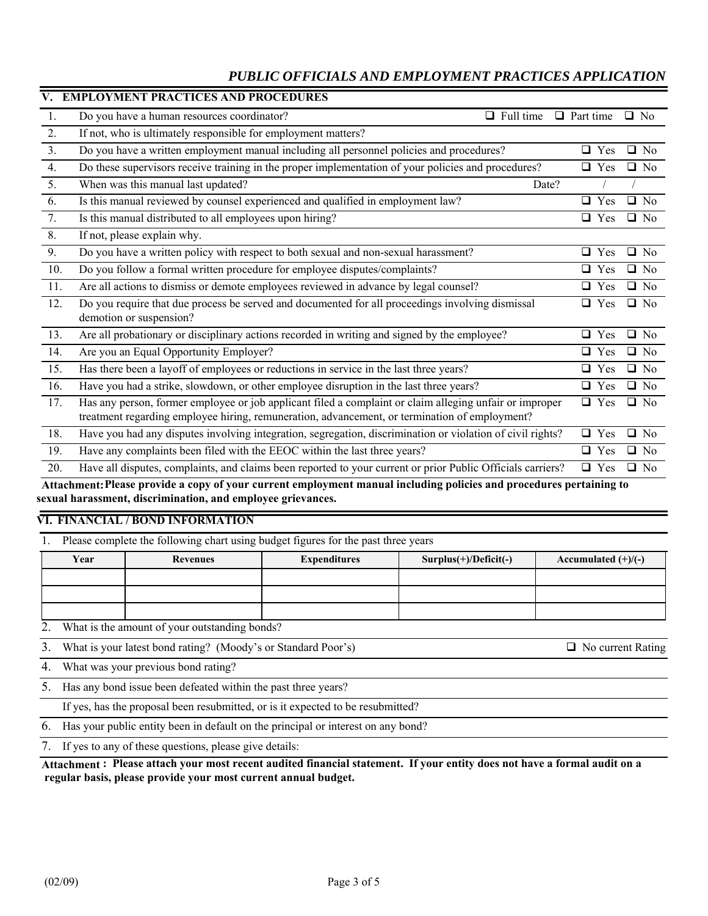| V.  | <b>EMPLOYMENT PRACTICES AND PROCEDURES</b>                                                                                                                                                               |                  |           |
|-----|----------------------------------------------------------------------------------------------------------------------------------------------------------------------------------------------------------|------------------|-----------|
| 1.  | Do you have a human resources coordinator?<br>$\Box$ Full time                                                                                                                                           | $\Box$ Part time | $\Box$ No |
| 2.  | If not, who is ultimately responsible for employment matters?                                                                                                                                            |                  |           |
| 3.  | Do you have a written employment manual including all personnel policies and procedures?                                                                                                                 | $\Box$ Yes       | $\Box$ No |
| 4.  | Do these supervisors receive training in the proper implementation of your policies and procedures?                                                                                                      | $\Box$ Yes       | $\Box$ No |
| 5.  | When was this manual last updated?<br>Date?                                                                                                                                                              |                  |           |
| 6.  | Is this manual reviewed by counsel experienced and qualified in employment law?                                                                                                                          | $\Box$ Yes       | $\Box$ No |
| 7.  | Is this manual distributed to all employees upon hiring?                                                                                                                                                 | $\Box$ Yes       | $\Box$ No |
| 8.  | If not, please explain why.                                                                                                                                                                              |                  |           |
| 9.  | Do you have a written policy with respect to both sexual and non-sexual harassment?                                                                                                                      | $\Box$ Yes       | $\Box$ No |
| 10. | Do you follow a formal written procedure for employee disputes/complaints?                                                                                                                               | $\Box$ Yes       | $\Box$ No |
| 11. | Are all actions to dismiss or demote employees reviewed in advance by legal counsel?                                                                                                                     | $\Box$ Yes       | $\Box$ No |
| 12. | Do you require that due process be served and documented for all proceedings involving dismissal<br>demotion or suspension?                                                                              | $\Box$ Yes       | $\Box$ No |
| 13. | Are all probationary or disciplinary actions recorded in writing and signed by the employee?                                                                                                             | $\Box$ Yes       | $\Box$ No |
| 14. | Are you an Equal Opportunity Employer?                                                                                                                                                                   | $\Box$ Yes       | $\Box$ No |
| 15. | Has there been a layoff of employees or reductions in service in the last three years?                                                                                                                   | $\Box$ Yes       | $\Box$ No |
| 16. | Have you had a strike, slowdown, or other employee disruption in the last three years?                                                                                                                   | $\Box$ Yes       | $\Box$ No |
| 17. | Has any person, former employee or job applicant filed a complaint or claim alleging unfair or improper<br>treatment regarding employee hiring, remuneration, advancement, or termination of employment? | $\Box$ Yes       | $\Box$ No |
| 18. | Have you had any disputes involving integration, segregation, discrimination or violation of civil rights?                                                                                               | $\Box$ Yes       | $\Box$ No |
| 19. | Have any complaints been filed with the EEOC within the last three years?                                                                                                                                | $\Box$ Yes       | $\Box$ No |
| 20. | Have all disputes, complaints, and claims been reported to your current or prior Public Officials carriers?                                                                                              | $\Box$ Yes       | $\Box$ No |

**Attachment: Please provide a copy of your current employment manual including policies and procedures pertaining to sexual harassment, discrimination, and employee grievances.** 

#### **VI. FINANCIAL / BOND INFORMATION**

1. Please complete the following chart using budget figures for the past three years

| Year | Revenues | <b>Expenditures</b> | $Surplus(+)/Deficit(-)$ | Accumulated $(+)/(-)$ |
|------|----------|---------------------|-------------------------|-----------------------|
|      |          |                     |                         |                       |
|      |          |                     |                         |                       |
|      |          |                     |                         |                       |

2. What is the amount of your outstanding bonds?

3. What is your latest bond rating? (Moody's or Standard Poor's)  $\Box$  No current Rating

4. What was your previous bond rating?

5. Has any bond issue been defeated within the past three years?

If yes, has the proposal been resubmitted, or is it expected to be resubmitted?

6. Has your public entity been in default on the principal or interest on any bond?

7. If yes to any of these questions, please give details:

#### **Attachment : Please attach your most recent audited financial statement. If your entity does not have a formal audit on a regular basis, please provide your most current annual budget.**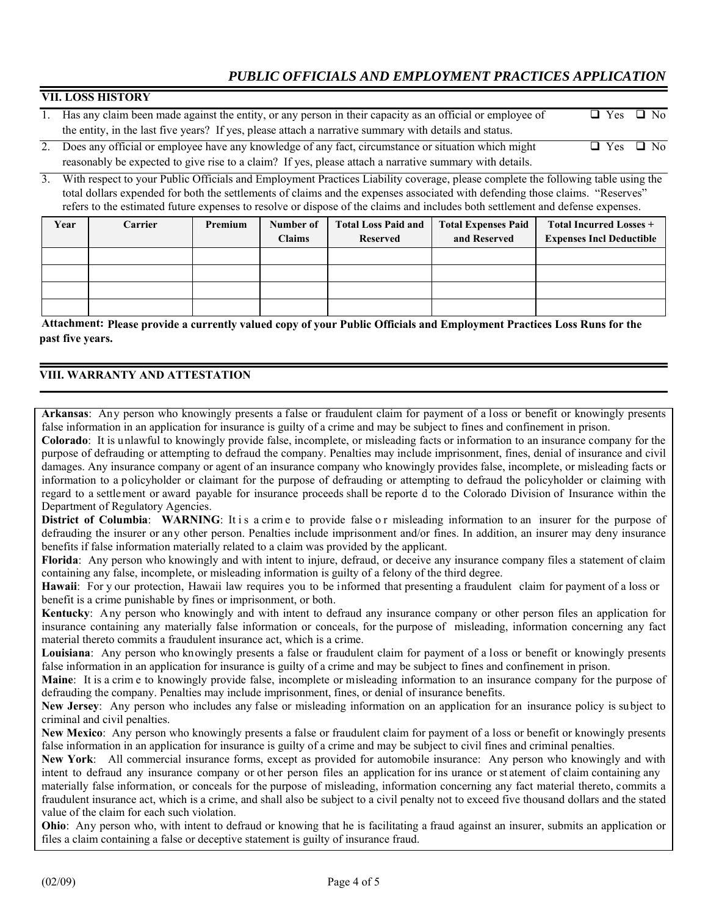| <b>VII. LOSS HISTORY</b>                                                                                                                                                                                                          |                                                         |  |
|-----------------------------------------------------------------------------------------------------------------------------------------------------------------------------------------------------------------------------------|---------------------------------------------------------|--|
| Has any claim been made against the entity, or any person in their capacity as an official or employee of                                                                                                                         | $\Box$ Yes $\Box$ No                                    |  |
| the entity, in the last five years? If yes, please attach a narrative summary with details and status.                                                                                                                            |                                                         |  |
| $\Delta$ . There is a contract the continues to contract the contract of the contract of the contract of the contract of the contract of the contract of the contract of the contract of the contract of the contract of the cont | $\mathbf{D}$ $\mathbf{V}$ . $\mathbf{D}$ $\mathbf{M}$ . |  |

| 2. Does any official or employee have any knowledge of any fact, circumstance or situation which might  | $\Box$ Yes $\Box$ No |  |
|---------------------------------------------------------------------------------------------------------|----------------------|--|
| reasonably be expected to give rise to a claim? If yes, please attach a narrative summary with details. |                      |  |

3. With respect to your Public Officials and Employment Practices Liability coverage, please complete the following table using the total dollars expended for both the settlements of claims and the expenses associated with defending those claims. "Reserves" refers to the estimated future expenses to resolve or dispose of the claims and includes both settlement and defense expenses.

| Year | <b>Carrier</b> | Premium | Number of<br><b>Claims</b> | <b>Total Loss Paid and</b><br><b>Reserved</b> | <b>Total Expenses Paid</b><br>and Reserved | <b>Total Incurred Losses +</b><br><b>Expenses Incl Deductible</b> |
|------|----------------|---------|----------------------------|-----------------------------------------------|--------------------------------------------|-------------------------------------------------------------------|
|      |                |         |                            |                                               |                                            |                                                                   |
|      |                |         |                            |                                               |                                            |                                                                   |
|      |                |         |                            |                                               |                                            |                                                                   |
|      |                |         |                            |                                               |                                            |                                                                   |

**Attachment: Please provide a currently valued copy of your Public Officials and Employment Practices Loss Runs for the past five years.** 

## **VIII. WARRANTY AND ATTESTATION**

**Arkansas**: Any person who knowingly presents a false or fraudulent claim for payment of a loss or benefit or knowingly presents false information in an application for insurance is guilty of a crime and may be subject to fines and confinement in prison.

**Colorado**: It is unlawful to knowingly provide false, incomplete, or misleading facts or information to an insurance company for the purpose of defrauding or attempting to defraud the company. Penalties may include imprisonment, fines, denial of insurance and civil damages. Any insurance company or agent of an insurance company who knowingly provides false, incomplete, or misleading facts or information to a policyholder or claimant for the purpose of defrauding or attempting to defraud the policyholder or claiming with regard to a settlement or award payable for insurance proceeds shall be reporte d to the Colorado Division of Insurance within the Department of Regulatory Agencies.

District of Columbia: WARNING: It is a crime to provide false or misleading information to an insurer for the purpose of defrauding the insurer or any other person. Penalties include imprisonment and/or fines. In addition, an insurer may deny insurance benefits if false information materially related to a claim was provided by the applicant.

**Florida**: Any person who knowingly and with intent to injure, defraud, or deceive any insurance company files a statement of claim containing any false, incomplete, or misleading information is guilty of a felony of the third degree.

**Hawaii**: For y our protection, Hawaii law requires you to be informed that presenting a fraudulent claim for payment of a loss or benefit is a crime punishable by fines or imprisonment, or both.

**Kentucky**: Any person who knowingly and with intent to defraud any insurance company or other person files an application for insurance containing any materially false information or conceals, for the purpose of misleading, information concerning any fact material thereto commits a fraudulent insurance act, which is a crime.

**Louisiana**: Any person who knowingly presents a false or fraudulent claim for payment of a loss or benefit or knowingly presents false information in an application for insurance is guilty of a crime and may be subject to fines and confinement in prison.

**Maine**: It is a crim e to knowingly provide false, incomplete or misleading information to an insurance company for the purpose of defrauding the company. Penalties may include imprisonment, fines, or denial of insurance benefits.

**New Jersey**: Any person who includes any false or misleading information on an application for an insurance policy is subject to criminal and civil penalties.

**New Mexico**: Any person who knowingly presents a false or fraudulent claim for payment of a loss or benefit or knowingly presents false information in an application for insurance is guilty of a crime and may be subject to civil fines and criminal penalties.

**New York**: All commercial insurance forms, except as provided for automobile insurance: Any person who knowingly and with intent to defraud any insurance company or ot her person files an application for ins urance or st atement of claim containing any materially false information, or conceals for the purpose of misleading, information concerning any fact material thereto, commits a fraudulent insurance act, which is a crime, and shall also be subject to a civil penalty not to exceed five thousand dollars and the stated

value of the claim for each such violation. **Ohio**: Any person who, with intent to defraud or knowing that he is facilitating a fraud against an insurer, submits an application or files a claim containing a false or deceptive statement is guilty of insurance fraud.